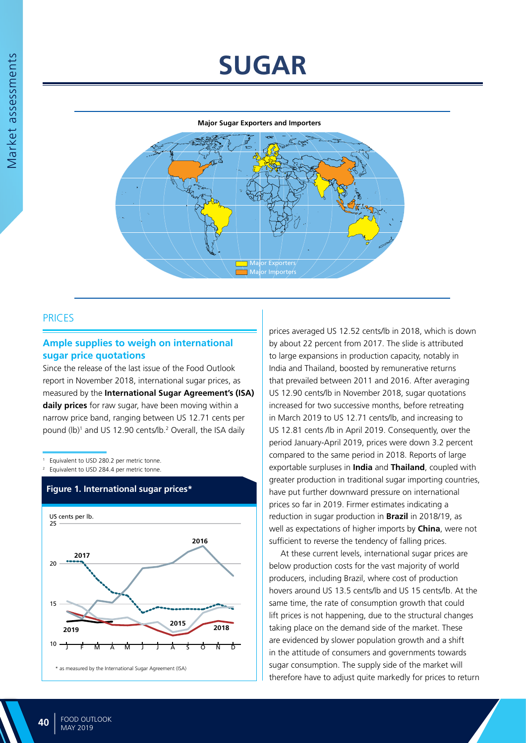# **SUGAR**

#### **Major Sugar Exporters and Importers**



# PRICES

## **Ample supplies to weigh on international sugar price quotations**

Since the release of the last issue of the Food Outlook report in November 2018, international sugar prices, as measured by the **International Sugar Agreement's (ISA) daily prices** for raw sugar, have been moving within a narrow price band, ranging between US 12.71 cents per pound (lb)<sup>1</sup> and US 12.90 cents/lb.<sup>2</sup> Overall, the ISA daily

Equivalent to USD 280.2 per metric tonne.

2 Equivalent to USD 284.4 per metric tonne.



# **Figure 1. International sugar prices\***

prices averaged US 12.52 cents/lb in 2018, which is down by about 22 percent from 2017. The slide is attributed to large expansions in production capacity, notably in India and Thailand, boosted by remunerative returns that prevailed between 2011 and 2016. After averaging US 12.90 cents/lb in November 2018, sugar quotations increased for two successive months, before retreating in March 2019 to US 12.71 cents/lb, and increasing to US 12.81 cents /lb in April 2019. Consequently, over the period January-April 2019, prices were down 3.2 percent compared to the same period in 2018. Reports of large exportable surpluses in **India** and **Thailand**, coupled with greater production in traditional sugar importing countries, have put further downward pressure on international prices so far in 2019. Firmer estimates indicating a reduction in sugar production in **Brazil** in 2018/19, as well as expectations of higher imports by **China**, were not sufficient to reverse the tendency of falling prices.

At these current levels, international sugar prices are below production costs for the vast majority of world producers, including Brazil, where cost of production hovers around US 13.5 cents/lb and US 15 cents/lb. At the same time, the rate of consumption growth that could lift prices is not happening, due to the structural changes taking place on the demand side of the market. These are evidenced by slower population growth and a shift in the attitude of consumers and governments towards sugar consumption. The supply side of the market will therefore have to adjust quite markedly for prices to return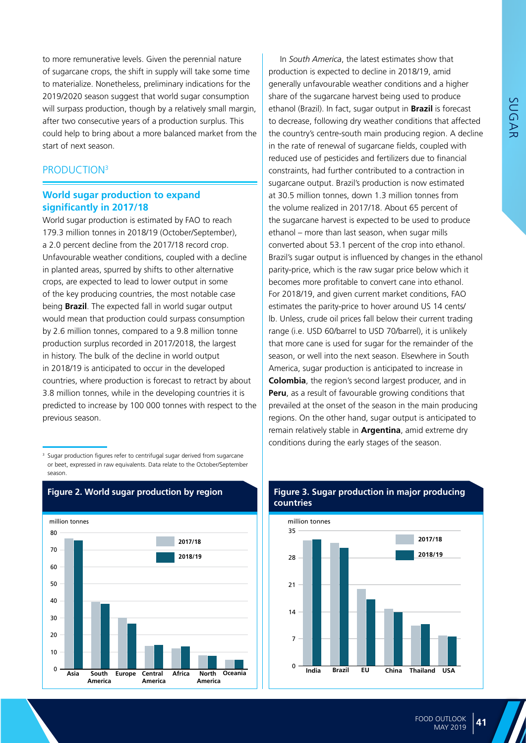SUGAR

to more remunerative levels. Given the perennial nature of sugarcane crops, the shift in supply will take some time to materialize. Nonetheless, preliminary indications for the 2019/2020 season suggest that world sugar consumption will surpass production, though by a relatively small margin, after two consecutive years of a production surplus. This could help to bring about a more balanced market from the start of next season.

# PRODUCTION<sup>3</sup>

## **World sugar production to expand significantly in 2017/18**

World sugar production is estimated by FAO to reach 179.3 million tonnes in 2018/19 (October/September), a 2.0 percent decline from the 2017/18 record crop. Unfavourable weather conditions, coupled with a decline in planted areas, spurred by shifts to other alternative crops, are expected to lead to lower output in some of the key producing countries, the most notable case being **Brazil**. The expected fall in world sugar output would mean that production could surpass consumption by 2.6 million tonnes, compared to a 9.8 million tonne production surplus recorded in 2017/2018, the largest in history. The bulk of the decline in world output in 2018/19 is anticipated to occur in the developed countries, where production is forecast to retract by about 3.8 million tonnes, while in the developing countries it is predicted to increase by 100 000 tonnes with respect to the previous season.

<sup>3</sup> Sugar production figures refer to centrifugal sugar derived from sugarcane or beet, expressed in raw equivalents. Data relate to the October/September season.



# **Figure 2. World sugar production by region**

# production is expected to decline in 2018/19, amid generally unfavourable weather conditions and a higher share of the sugarcane harvest being used to produce ethanol (Brazil). In fact, sugar output in **Brazil** is forecast to decrease, following dry weather conditions that affected the country's centre-south main producing region. A decline in the rate of renewal of sugarcane fields, coupled with reduced use of pesticides and fertilizers due to financial constraints, had further contributed to a contraction in sugarcane output. Brazil's production is now estimated at 30.5 million tonnes, down 1.3 million tonnes from the volume realized in 2017/18. About 65 percent of the sugarcane harvest is expected to be used to produce ethanol – more than last season, when sugar mills converted about 53.1 percent of the crop into ethanol. Brazil's sugar output is influenced by changes in the ethanol parity-price, which is the raw sugar price below which it becomes more profitable to convert cane into ethanol. For 2018/19, and given current market conditions, FAO estimates the parity-price to hover around US 14 cents/ lb. Unless, crude oil prices fall below their current trading range (i.e. USD 60/barrel to USD 70/barrel), it is unlikely that more cane is used for sugar for the remainder of the season, or well into the next season. Elsewhere in South America, sugar production is anticipated to increase in **Colombia**, the region's second largest producer, and in **Peru**, as a result of favourable growing conditions that prevailed at the onset of the season in the main producing regions. On the other hand, sugar output is anticipated to remain relatively stable in **Argentina**, amid extreme dry conditions during the early stages of the season.

In *South America*, the latest estimates show that



## **Figure 3. Sugar production in major producing countries**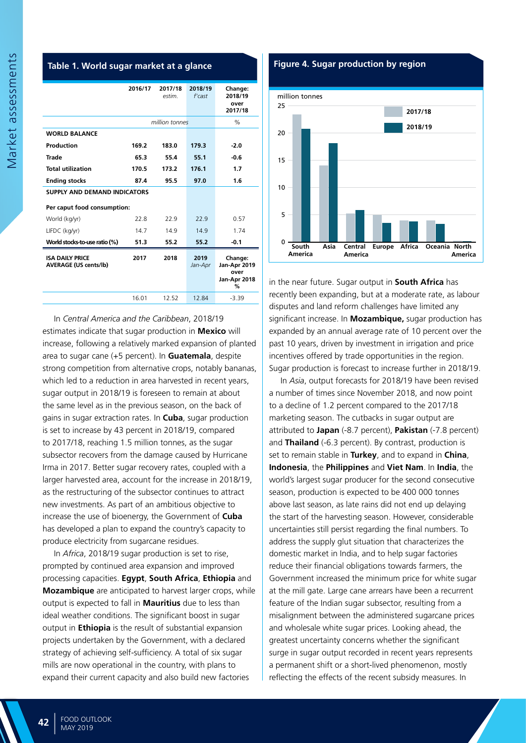#### **Table 1. World sugar market at a glance**

|                                                        | 2016/17        | 2017/18<br>estim. | 2018/19<br>$f'$ cast | Change:<br>2018/19<br>over<br>2017/18                |
|--------------------------------------------------------|----------------|-------------------|----------------------|------------------------------------------------------|
|                                                        | million tonnes |                   |                      | $\%$                                                 |
| <b>WORLD BALANCE</b>                                   |                |                   |                      |                                                      |
| Production                                             | 169.2          | 183.0             | 179.3                | $-2.0$                                               |
| <b>Trade</b>                                           | 65.3           | 55.4              | 55.1                 | $-0.6$                                               |
| <b>Total utilization</b>                               | 170.5          | 173.2             | 176.1                | 1.7                                                  |
| <b>Ending stocks</b>                                   | 87.4           | 95.5              | 97.0                 | 1.6                                                  |
| <b>SUPPLY AND DEMAND INDICATORS</b>                    |                |                   |                      |                                                      |
| Per caput food consumption:                            |                |                   |                      |                                                      |
| World (kg/yr)                                          | 22.8           | 22.9              | 22.9                 | 0.57                                                 |
| LIFDC (kg/yr)                                          | 14.7           | 14.9              | 14.9                 | 1.74                                                 |
| World stocks-to-use ratio (%)                          | 51.3           | 55.2              | 55.2                 | $-0.1$                                               |
| <b>ISA DAILY PRICE</b><br><b>AVERAGE (US cents/lb)</b> | 2017           | 2018              | 2019<br>Jan-Apr      | Change:<br>Jan-Apr 2019<br>over<br>Jan-Apr 2018<br>% |
|                                                        | 16.01          | 12.52             | 12.84                | $-3.39$                                              |

In *Central America and the Caribbean*, 2018/19 estimates indicate that sugar production in **Mexico** will increase, following a relatively marked expansion of planted area to sugar cane (+5 percent). In **Guatemala**, despite strong competition from alternative crops, notably bananas, which led to a reduction in area harvested in recent years, sugar output in 2018/19 is foreseen to remain at about the same level as in the previous season, on the back of gains in sugar extraction rates. In **Cuba**, sugar production is set to increase by 43 percent in 2018/19, compared to 2017/18, reaching 1.5 million tonnes, as the sugar subsector recovers from the damage caused by Hurricane Irma in 2017. Better sugar recovery rates, coupled with a larger harvested area, account for the increase in 2018/19, as the restructuring of the subsector continues to attract new investments. As part of an ambitious objective to increase the use of bioenergy, the Government of **Cuba** has developed a plan to expand the country's capacity to produce electricity from sugarcane residues.

In *Africa*, 2018/19 sugar production is set to rise, prompted by continued area expansion and improved processing capacities. **Egypt**, **South Africa**, **Ethiopia** and **Mozambique** are anticipated to harvest larger crops, while output is expected to fall in **Mauritius** due to less than ideal weather conditions. The significant boost in sugar output in **Ethiopia** is the result of substantial expansion projects undertaken by the Government, with a declared strategy of achieving self-sufficiency. A total of six sugar mills are now operational in the country, with plans to expand their current capacity and also build new factories

#### **Figure 4. Sugar production by region**



in the near future. Sugar output in **South Africa** has recently been expanding, but at a moderate rate, as labour disputes and land reform challenges have limited any significant increase. In **Mozambique,** sugar production has expanded by an annual average rate of 10 percent over the past 10 years, driven by investment in irrigation and price incentives offered by trade opportunities in the region. Sugar production is forecast to increase further in 2018/19.

In *Asia*, output forecasts for 2018/19 have been revised a number of times since November 2018, and now point to a decline of 1.2 percent compared to the 2017/18 marketing season. The cutbacks in sugar output are attributed to **Japan** (-8.7 percent), **Pakistan** (-7.8 percent) and **Thailand** (-6.3 percent). By contrast, production is set to remain stable in **Turkey**, and to expand in **China**, **Indonesia**, the **Philippines** and **Viet Nam**. In **India**, the world's largest sugar producer for the second consecutive season, production is expected to be 400 000 tonnes above last season, as late rains did not end up delaying the start of the harvesting season. However, considerable uncertainties still persist regarding the final numbers. To address the supply glut situation that characterizes the domestic market in India, and to help sugar factories reduce their financial obligations towards farmers, the Government increased the minimum price for white sugar at the mill gate. Large cane arrears have been a recurrent feature of the Indian sugar subsector, resulting from a misalignment between the administered sugarcane prices and wholesale white sugar prices. Looking ahead, the greatest uncertainty concerns whether the significant surge in sugar output recorded in recent years represents a permanent shift or a short-lived phenomenon, mostly reflecting the effects of the recent subsidy measures. In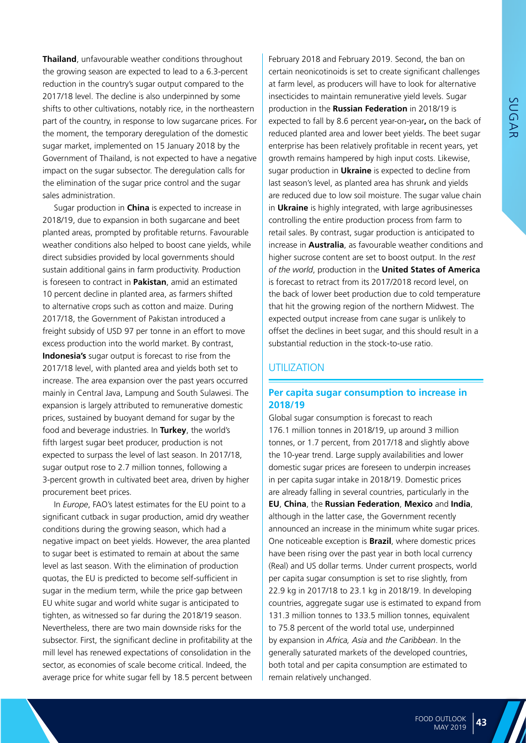**Thailand**, unfavourable weather conditions throughout the growing season are expected to lead to a 6.3-percent reduction in the country's sugar output compared to the 2017/18 level. The decline is also underpinned by some shifts to other cultivations, notably rice, in the northeastern part of the country, in response to low sugarcane prices. For the moment, the temporary deregulation of the domestic sugar market, implemented on 15 January 2018 by the Government of Thailand, is not expected to have a negative impact on the sugar subsector. The deregulation calls for the elimination of the sugar price control and the sugar sales administration.

Sugar production in **China** is expected to increase in 2018/19, due to expansion in both sugarcane and beet planted areas, prompted by profitable returns. Favourable weather conditions also helped to boost cane yields, while direct subsidies provided by local governments should sustain additional gains in farm productivity. Production is foreseen to contract in **Pakistan**, amid an estimated 10 percent decline in planted area, as farmers shifted to alternative crops such as cotton and maize. During 2017/18, the Government of Pakistan introduced a freight subsidy of USD 97 per tonne in an effort to move excess production into the world market. By contrast, **Indonesia's** sugar output is forecast to rise from the 2017/18 level, with planted area and yields both set to increase. The area expansion over the past years occurred mainly in Central Java, Lampung and South Sulawesi. The expansion is largely attributed to remunerative domestic prices, sustained by buoyant demand for sugar by the food and beverage industries. In **Turkey**, the world's fifth largest sugar beet producer, production is not expected to surpass the level of last season. In 2017/18, sugar output rose to 2.7 million tonnes, following a 3-percent growth in cultivated beet area, driven by higher procurement beet prices.

In *Europe*, FAO's latest estimates for the EU point to a significant cutback in sugar production, amid dry weather conditions during the growing season, which had a negative impact on beet yields. However, the area planted to sugar beet is estimated to remain at about the same level as last season. With the elimination of production quotas, the EU is predicted to become self-sufficient in sugar in the medium term, while the price gap between EU white sugar and world white sugar is anticipated to tighten, as witnessed so far during the 2018/19 season. Nevertheless, there are two main downside risks for the subsector. First, the significant decline in profitability at the mill level has renewed expectations of consolidation in the sector, as economies of scale become critical. Indeed, the average price for white sugar fell by 18.5 percent between February 2018 and February 2019. Second, the ban on certain neonicotinoids is set to create significant challenges at farm level, as producers will have to look for alternative insecticides to maintain remunerative yield levels. Sugar production in the **Russian Federation** in 2018/19 is expected to fall by 8.6 percent year-on-year**,** on the back of reduced planted area and lower beet yields. The beet sugar enterprise has been relatively profitable in recent years, yet growth remains hampered by high input costs. Likewise, sugar production in **Ukraine** is expected to decline from last season's level, as planted area has shrunk and yields are reduced due to low soil moisture. The sugar value chain in **Ukraine** is highly integrated, with large agribusinesses controlling the entire production process from farm to retail sales. By contrast, sugar production is anticipated to increase in **Australia**, as favourable weather conditions and higher sucrose content are set to boost output. In the *rest of the world*, production in the **United States of America**  is forecast to retract from its 2017/2018 record level, on the back of lower beet production due to cold temperature that hit the growing region of the northern Midwest. The expected output increase from cane sugar is unlikely to offset the declines in beet sugar, and this should result in a substantial reduction in the stock-to-use ratio.

## UTILIZATION

## **Per capita sugar consumption to increase in 2018/19**

Global sugar consumption is forecast to reach 176.1 million tonnes in 2018/19, up around 3 million tonnes, or 1.7 percent, from 2017/18 and slightly above the 10-year trend. Large supply availabilities and lower domestic sugar prices are foreseen to underpin increases in per capita sugar intake in 2018/19. Domestic prices are already falling in several countries, particularly in the **EU**, **China**, the **Russian Federation**, **Mexico** and **India**, although in the latter case, the Government recently announced an increase in the minimum white sugar prices. One noticeable exception is **Brazil**, where domestic prices have been rising over the past year in both local currency (Real) and US dollar terms. Under current prospects, world per capita sugar consumption is set to rise slightly, from 22.9 kg in 2017/18 to 23.1 kg in 2018/19. In developing countries, aggregate sugar use is estimated to expand from 131.3 million tonnes to 133.5 million tonnes, equivalent to 75.8 percent of the world total use, underpinned by expansion in *Africa, Asia* and *the Caribbean*. In the generally saturated markets of the developed countries, both total and per capita consumption are estimated to remain relatively unchanged.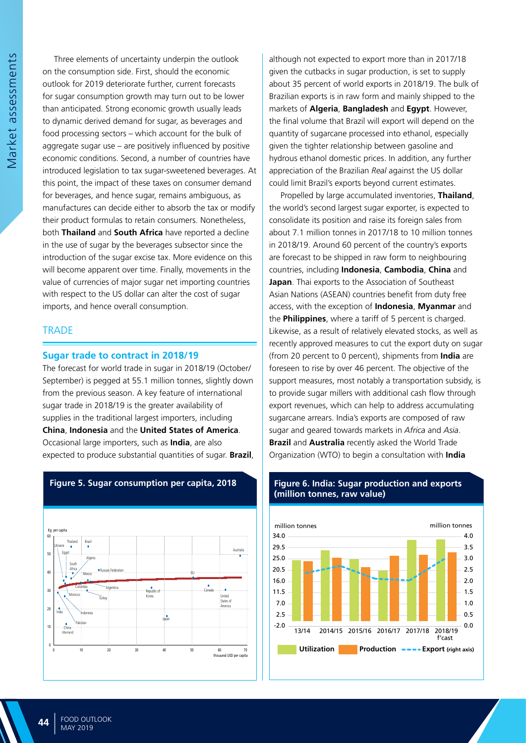Three elements of uncertainty underpin the outlook on the consumption side. First, should the economic outlook for 2019 deteriorate further, current forecasts for sugar consumption growth may turn out to be lower than anticipated. Strong economic growth usually leads to dynamic derived demand for sugar, as beverages and food processing sectors – which account for the bulk of aggregate sugar use – are positively influenced by positive economic conditions. Second, a number of countries have introduced legislation to tax sugar-sweetened beverages. At this point, the impact of these taxes on consumer demand for beverages, and hence sugar, remains ambiguous, as manufactures can decide either to absorb the tax or modify their product formulas to retain consumers. Nonetheless, both **Thailand** and **South Africa** have reported a decline in the use of sugar by the beverages subsector since the introduction of the sugar excise tax. More evidence on this will become apparent over time. Finally, movements in the value of currencies of major sugar net importing countries with respect to the US dollar can alter the cost of sugar imports, and hence overall consumption.

## **TRADE**

#### **Sugar trade to contract in 2018/19**

The forecast for world trade in sugar in 2018/19 (October/ September) is pegged at 55.1 million tonnes, slightly down from the previous season. A key feature of international sugar trade in 2018/19 is the greater availability of supplies in the traditional largest importers, including **China**, **Indonesia** and the **United States of America**. Occasional large importers, such as **India**, are also expected to produce substantial quantities of sugar. **Brazil**,



## **Figure 5. Sugar consumption per capita, 2018**

although not expected to export more than in 2017/18 given the cutbacks in sugar production, is set to supply about 35 percent of world exports in 2018/19. The bulk of Brazilian exports is in raw form and mainly shipped to the markets of **Algeria**, **Bangladesh** and **Egypt**. However, the final volume that Brazil will export will depend on the quantity of sugarcane processed into ethanol, especially given the tighter relationship between gasoline and hydrous ethanol domestic prices. In addition, any further appreciation of the Brazilian *Real* against the US dollar could limit Brazil's exports beyond current estimates.

Propelled by large accumulated inventories, **Thailand**, the world's second largest sugar exporter, is expected to consolidate its position and raise its foreign sales from about 7.1 million tonnes in 2017/18 to 10 million tonnes in 2018/19. Around 60 percent of the country's exports are forecast to be shipped in raw form to neighbouring countries, including **Indonesia**, **Cambodia**, **China** and **Japan**. Thai exports to the Association of Southeast Asian Nations (ASEAN) countries benefit from duty free access, with the exception of **Indonesia**, **Myanmar** and the **Philippines**, where a tariff of 5 percent is charged. Likewise, as a result of relatively elevated stocks, as well as recently approved measures to cut the export duty on sugar (from 20 percent to 0 percent), shipments from **India** are foreseen to rise by over 46 percent. The objective of the support measures, most notably a transportation subsidy, is to provide sugar millers with additional cash flow through export revenues, which can help to address accumulating sugarcane arrears. India's exports are composed of raw sugar and geared towards markets in *Africa* and *Asia*. **Brazil** and **Australia** recently asked the World Trade Organization (WTO) to begin a consultation with **India**



#### **Figure 6. India: Sugar production and exports (million tonnes, raw value)**